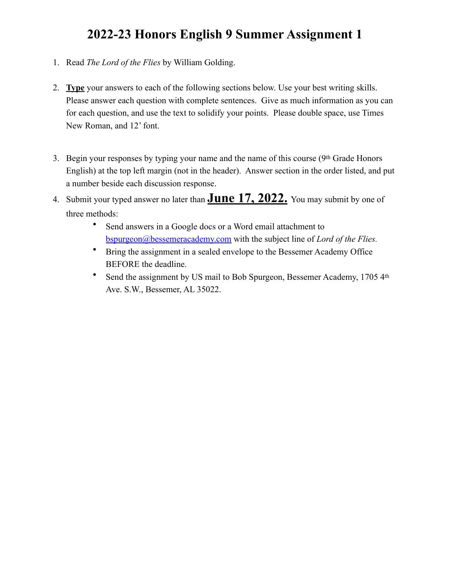# **2022-23 Honors English 9 Summer Assignment 1**

- 1. Read *The Lord of the Flies* by William Golding.
- 2. **Type** your answers to each of the following sections below. Use your best writing skills. Please answer each question with complete sentences. Give as much information as you can for each question, and use the text to solidify your points. Please double space, use Times New Roman, and 12' font.
- 3. Begin your responses by typing your name and the name of this course (9<sup>th</sup> Grade Honors) English) at the top left margin (not in the header). Answer section in the order listed, and put a number beside each discussion response.
- 4. Submit your typed answer no later than **June 17, 2022.** You may submit by one of three methods:
	- Send answers in a Google docs or a Word email attachment to [bspurgeon@bessemeracademy.com](mailto:kreach@bessemeracademy.com) with the subject line of *Lord of the Flies.*
	- Bring the assignment in a sealed envelope to the Bessemer Academy Office BEFORE the deadline.
	- Send the assignment by US mail to Bob Spurgeon, Bessemer Academy, 1705 4th Ave. S.W., Bessemer, AL 35022.